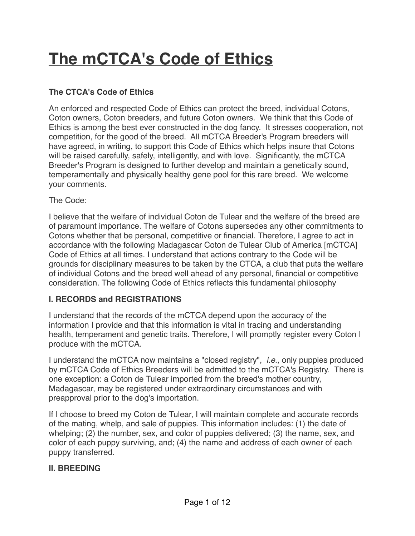# **The mCTCA's Code of Ethics**

## **The CTCA's Code of Ethics**

An enforced and respected Code of Ethics can protect the breed, individual Cotons, Coton owners, Coton breeders, and future Coton owners. We think that this Code of Ethics is among the best ever constructed in the dog fancy. It stresses cooperation, not competition, for the good of the breed. All mCTCA Breeder's Program breeders will have agreed, in writing, to support this Code of Ethics which helps insure that Cotons will be raised carefully, safely, intelligently, and with love. Significantly, the mCTCA Breeder's Program is designed to further develop and maintain a genetically sound, temperamentally and physically healthy gene pool for this rare breed. We welcome your comments.

The Code:

I believe that the welfare of individual Coton de Tulear and the welfare of the breed are of paramount importance. The welfare of Cotons supersedes any other commitments to Cotons whether that be personal, competitive or financial. Therefore, I agree to act in accordance with the following Madagascar Coton de Tulear Club of America [mCTCA] Code of Ethics at all times. I understand that actions contrary to the Code will be grounds for disciplinary measures to be taken by the CTCA, a club that puts the welfare of individual Cotons and the breed well ahead of any personal, financial or competitive consideration. The following Code of Ethics reflects this fundamental philosophy

#### **I. RECORDS and REGISTRATIONS**

I understand that the records of the mCTCA depend upon the accuracy of the information I provide and that this information is vital in tracing and understanding health, temperament and genetic traits. Therefore, I will promptly register every Coton I produce with the mCTCA.

I understand the mCTCA now maintains a "closed registry", *i.e.,* only puppies produced by mCTCA Code of Ethics Breeders will be admitted to the mCTCA's Registry. There is one exception: a Coton de Tulear imported from the breed's mother country, Madagascar, may be registered under extraordinary circumstances and with preapproval prior to the dog's importation.

If I choose to breed my Coton de Tulear, I will maintain complete and accurate records of the mating, whelp, and sale of puppies. This information includes: (1) the date of whelping; (2) the number, sex, and color of puppies delivered; (3) the name, sex, and color of each puppy surviving, and; (4) the name and address of each owner of each puppy transferred.

#### **II. BREEDING**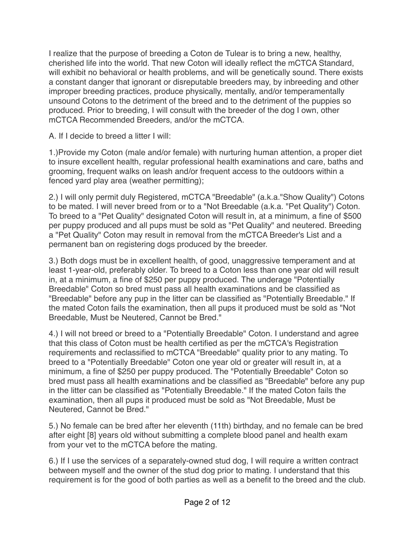I realize that the purpose of breeding a Coton de Tulear is to bring a new, healthy, cherished life into the world. That new Coton will ideally reflect the mCTCA Standard, will exhibit no behavioral or health problems, and will be genetically sound. There exists a constant danger that ignorant or disreputable breeders may, by inbreeding and other improper breeding practices, produce physically, mentally, and/or temperamentally unsound Cotons to the detriment of the breed and to the detriment of the puppies so produced. Prior to breeding, I will consult with the breeder of the dog I own, other mCTCA Recommended Breeders, and/or the mCTCA.

A. If I decide to breed a litter I will:

1.)Provide my Coton (male and/or female) with nurturing human attention, a proper diet to insure excellent health, regular professional health examinations and care, baths and grooming, frequent walks on leash and/or frequent access to the outdoors within a fenced yard play area (weather permitting);

2.) I will only permit duly Registered, mCTCA "Breedable" (a.k.a."Show Quality") Cotons to be mated. I will never breed from or to a "Not Breedable (a.k.a. "Pet Quality") Coton. To breed to a "Pet Quality" designated Coton will result in, at a minimum, a fine of \$500 per puppy produced and all pups must be sold as "Pet Quality" and neutered. Breeding a "Pet Quality" Coton may result in removal from the mCTCA Breeder's List and a permanent ban on registering dogs produced by the breeder.

3.) Both dogs must be in excellent health, of good, unaggressive temperament and at least 1-year-old, preferably older. To breed to a Coton less than one year old will result in, at a minimum, a fine of \$250 per puppy produced. The underage "Potentially Breedable" Coton so bred must pass all health examinations and be classified as "Breedable" before any pup in the litter can be classified as "Potentially Breedable." If the mated Coton fails the examination, then all pups it produced must be sold as "Not Breedable, Must be Neutered, Cannot be Bred."

4.) I will not breed or breed to a "Potentially Breedable" Coton. I understand and agree that this class of Coton must be health certified as per the mCTCA's Registration requirements and reclassified to mCTCA "Breedable" quality prior to any mating. To breed to a "Potentially Breedable" Coton one year old or greater will result in, at a minimum, a fine of \$250 per puppy produced. The "Potentially Breedable" Coton so bred must pass all health examinations and be classified as "Breedable" before any pup in the litter can be classified as "Potentially Breedable." If the mated Coton fails the examination, then all pups it produced must be sold as "Not Breedable, Must be Neutered, Cannot be Bred."

5.) No female can be bred after her eleventh (11th) birthday, and no female can be bred after eight [8] years old without submitting a complete blood panel and health exam from your vet to the mCTCA before the mating.

6.) If I use the services of a separately-owned stud dog, I will require a written contract between myself and the owner of the stud dog prior to mating. I understand that this requirement is for the good of both parties as well as a benefit to the breed and the club.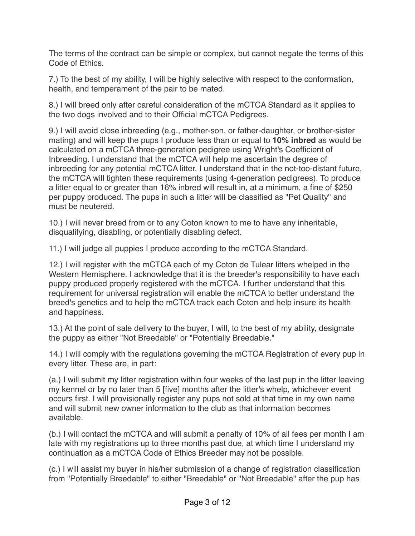The terms of the contract can be simple or complex, but cannot negate the terms of this Code of Ethics.

7.) To the best of my ability, I will be highly selective with respect to the conformation, health, and temperament of the pair to be mated.

8.) I will breed only after careful consideration of the mCTCA Standard as it applies to the two dogs involved and to their Official mCTCA Pedigrees.

9.) I will avoid close inbreeding (e.g., mother-son, or father-daughter, or brother-sister mating) and will keep the pups I produce less than or equal to **10% inbred** as would be calculated on a mCTCA three-generation pedigree using Wright's Coefficient of Inbreeding. I understand that the mCTCA will help me ascertain the degree of inbreeding for any potential mCTCA litter. I understand that in the not-too-distant future, the mCTCA will tighten these requirements (using 4-generation pedigrees). To produce a litter equal to or greater than 16% inbred will result in, at a minimum, a fine of \$250 per puppy produced. The pups in such a litter will be classified as "Pet Quality" and must be neutered.

10.) I will never breed from or to any Coton known to me to have any inheritable, disqualifying, disabling, or potentially disabling defect.

11.) I will judge all puppies I produce according to the mCTCA Standard.

12.) I will register with the mCTCA each of my Coton de Tulear litters whelped in the Western Hemisphere. I acknowledge that it is the breeder's responsibility to have each puppy produced properly registered with the mCTCA. I further understand that this requirement for universal registration will enable the mCTCA to better understand the breed's genetics and to help the mCTCA track each Coton and help insure its health and happiness.

13.) At the point of sale delivery to the buyer, I will, to the best of my ability, designate the puppy as either "Not Breedable" or "Potentially Breedable."

14.) I will comply with the regulations governing the mCTCA Registration of every pup in every litter. These are, in part:

(a.) I will submit my litter registration within four weeks of the last pup in the litter leaving my kennel or by no later than 5 [five] months after the litter's whelp, whichever event occurs first. I will provisionally register any pups not sold at that time in my own name and will submit new owner information to the club as that information becomes available.

(b.) I will contact the mCTCA and will submit a penalty of 10% of all fees per month I am late with my registrations up to three months past due, at which time I understand my continuation as a mCTCA Code of Ethics Breeder may not be possible.

(c.) I will assist my buyer in his/her submission of a change of registration classification from "Potentially Breedable" to either "Breedable" or "Not Breedable" after the pup has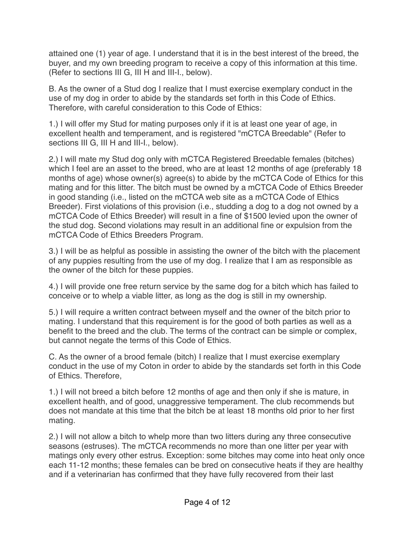attained one (1) year of age. I understand that it is in the best interest of the breed, the buyer, and my own breeding program to receive a copy of this information at this time. (Refer to sections III G, III H and III-I., below).

B. As the owner of a Stud dog I realize that I must exercise exemplary conduct in the use of my dog in order to abide by the standards set forth in this Code of Ethics. Therefore, with careful consideration to this Code of Ethics:

1.) I will offer my Stud for mating purposes only if it is at least one year of age, in excellent health and temperament, and is registered "mCTCA Breedable" (Refer to sections III G, III H and III-I., below).

2.) I will mate my Stud dog only with mCTCA Registered Breedable females (bitches) which I feel are an asset to the breed, who are at least 12 months of age (preferably 18 months of age) whose owner(s) agree(s) to abide by the mCTCA Code of Ethics for this mating and for this litter. The bitch must be owned by a mCTCA Code of Ethics Breeder in good standing (i.e., listed on the mCTCA web site as a mCTCA Code of Ethics Breeder). First violations of this provision (i.e., studding a dog to a dog not owned by a mCTCA Code of Ethics Breeder) will result in a fine of \$1500 levied upon the owner of the stud dog. Second violations may result in an additional fine or expulsion from the mCTCA Code of Ethics Breeders Program.

3.) I will be as helpful as possible in assisting the owner of the bitch with the placement of any puppies resulting from the use of my dog. I realize that I am as responsible as the owner of the bitch for these puppies.

4.) I will provide one free return service by the same dog for a bitch which has failed to conceive or to whelp a viable litter, as long as the dog is still in my ownership.

5.) I will require a written contract between myself and the owner of the bitch prior to mating. I understand that this requirement is for the good of both parties as well as a benefit to the breed and the club. The terms of the contract can be simple or complex, but cannot negate the terms of this Code of Ethics.

C. As the owner of a brood female (bitch) I realize that I must exercise exemplary conduct in the use of my Coton in order to abide by the standards set forth in this Code of Ethics. Therefore,

1.) I will not breed a bitch before 12 months of age and then only if she is mature, in excellent health, and of good, unaggressive temperament. The club recommends but does not mandate at this time that the bitch be at least 18 months old prior to her first mating.

2.) I will not allow a bitch to whelp more than two litters during any three consecutive seasons (estruses). The mCTCA recommends no more than one litter per year with matings only every other estrus. Exception: some bitches may come into heat only once each 11-12 months; these females can be bred on consecutive heats if they are healthy and if a veterinarian has confirmed that they have fully recovered from their last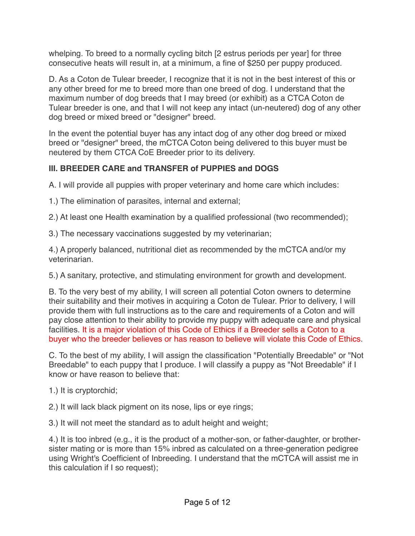whelping. To breed to a normally cycling bitch [2 estrus periods per year] for three consecutive heats will result in, at a minimum, a fine of \$250 per puppy produced.

D. As a Coton de Tulear breeder, I recognize that it is not in the best interest of this or any other breed for me to breed more than one breed of dog. I understand that the maximum number of dog breeds that I may breed (or exhibit) as a CTCA Coton de Tulear breeder is one, and that I will not keep any intact (un-neutered) dog of any other dog breed or mixed breed or "designer" breed.

In the event the potential buyer has any intact dog of any other dog breed or mixed breed or "designer" breed, the mCTCA Coton being delivered to this buyer must be neutered by them CTCA CoE Breeder prior to its delivery.

## **III. BREEDER CARE and TRANSFER of PUPPIES and DOGS**

A. I will provide all puppies with proper veterinary and home care which includes:

1.) The elimination of parasites, internal and external;

2.) At least one Health examination by a qualified professional (two recommended);

3.) The necessary vaccinations suggested by my veterinarian;

4.) A properly balanced, nutritional diet as recommended by the mCTCA and/or my veterinarian.

5.) A sanitary, protective, and stimulating environment for growth and development.

B. To the very best of my ability, I will screen all potential Coton owners to determine their suitability and their motives in acquiring a Coton de Tulear. Prior to delivery, I will provide them with full instructions as to the care and requirements of a Coton and will pay close attention to their ability to provide my puppy with adequate care and physical facilities. It is a major violation of this Code of Ethics if a Breeder sells a Coton to a buyer who the breeder believes or has reason to believe will violate this Code of Ethics.

C. To the best of my ability, I will assign the classification "Potentially Breedable" or "Not Breedable" to each puppy that I produce. I will classify a puppy as "Not Breedable" if I know or have reason to believe that:

1.) It is cryptorchid;

2.) It will lack black pigment on its nose, lips or eye rings;

3.) It will not meet the standard as to adult height and weight;

4.) It is too inbred (e.g., it is the product of a mother-son, or father-daughter, or brothersister mating or is more than 15% inbred as calculated on a three-generation pedigree using Wright's Coefficient of Inbreeding. I understand that the mCTCA will assist me in this calculation if I so request);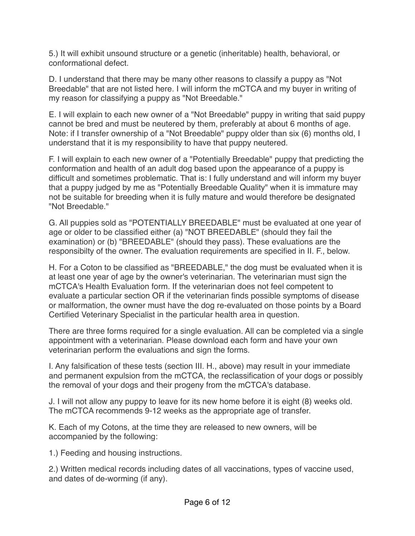5.) It will exhibit unsound structure or a genetic (inheritable) health, behavioral, or conformational defect.

D. I understand that there may be many other reasons to classify a puppy as "Not Breedable" that are not listed here. I will inform the mCTCA and my buyer in writing of my reason for classifying a puppy as "Not Breedable."

E. I will explain to each new owner of a "Not Breedable" puppy in writing that said puppy cannot be bred and must be neutered by them, preferably at about 6 months of age. Note: if I transfer ownership of a "Not Breedable" puppy older than six (6) months old, I understand that it is my responsibility to have that puppy neutered.

F. I will explain to each new owner of a "Potentially Breedable" puppy that predicting the conformation and health of an adult dog based upon the appearance of a puppy is difficult and sometimes problematic. That is: I fully understand and will inform my buyer that a puppy judged by me as "Potentially Breedable Quality" when it is immature may not be suitable for breeding when it is fully mature and would therefore be designated "Not Breedable."

G. All puppies sold as "POTENTIALLY BREEDABLE" must be evaluated at one year of age or older to be classified either (a) "NOT BREEDABLE" (should they fail the examination) or (b) "BREEDABLE" (should they pass). These evaluations are the responsibilty of the owner. The evaluation requirements are specified in II. F., below.

H. For a Coton to be classified as "BREEDABLE," the dog must be evaluated when it is at least one year of age by the owner's veterinarian. The veterinarian must sign the mCTCA's Health Evaluation form. If the veterinarian does not feel competent to evaluate a particular section OR if the veterinarian finds possible symptoms of disease or malformation, the owner must have the dog re-evaluated on those points by a Board Certified Veterinary Specialist in the particular health area in question.

There are three forms required for a single evaluation. All can be completed via a single appointment with a veterinarian. Please download each form and have your own veterinarian perform the evaluations and sign the forms.

I. Any falsification of these tests (section III. H., above) may result in your immediate and permanent expulsion from the mCTCA, the reclassification of your dogs or possibly the removal of your dogs and their progeny from the mCTCA's database.

J. I will not allow any puppy to leave for its new home before it is eight (8) weeks old. The mCTCA recommends 9-12 weeks as the appropriate age of transfer.

K. Each of my Cotons, at the time they are released to new owners, will be accompanied by the following:

1.) Feeding and housing instructions.

2.) Written medical records including dates of all vaccinations, types of vaccine used, and dates of de-worming (if any).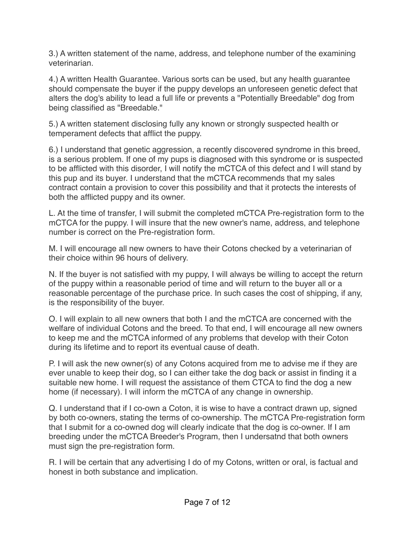3.) A written statement of the name, address, and telephone number of the examining veterinarian.

4.) A written Health Guarantee. Various sorts can be used, but any health guarantee should compensate the buyer if the puppy develops an unforeseen genetic defect that alters the dog's ability to lead a full life or prevents a "Potentially Breedable" dog from being classified as "Breedable."

5.) A written statement disclosing fully any known or strongly suspected health or temperament defects that afflict the puppy.

6.) I understand that genetic aggression, a recently discovered syndrome in this breed, is a serious problem. If one of my pups is diagnosed with this syndrome or is suspected to be afflicted with this disorder, I will notify the mCTCA of this defect and I will stand by this pup and its buyer. I understand that the mCTCA recommends that my sales contract contain a provision to cover this possibility and that it protects the interests of both the afflicted puppy and its owner.

L. At the time of transfer, I will submit the completed mCTCA Pre-registration form to the mCTCA for the puppy. I will insure that the new owner's name, address, and telephone number is correct on the Pre-registration form.

M. I will encourage all new owners to have their Cotons checked by a veterinarian of their choice within 96 hours of delivery.

N. If the buyer is not satisfied with my puppy, I will always be willing to accept the return of the puppy within a reasonable period of time and will return to the buyer all or a reasonable percentage of the purchase price. In such cases the cost of shipping, if any, is the responsibility of the buyer.

O. I will explain to all new owners that both I and the mCTCA are concerned with the welfare of individual Cotons and the breed. To that end, I will encourage all new owners to keep me and the mCTCA informed of any problems that develop with their Coton during its lifetime and to report its eventual cause of death.

P. I will ask the new owner(s) of any Cotons acquired from me to advise me if they are ever unable to keep their dog, so I can either take the dog back or assist in finding it a suitable new home. I will request the assistance of them CTCA to find the dog a new home (if necessary). I will inform the mCTCA of any change in ownership.

Q. I understand that if I co-own a Coton, it is wise to have a contract drawn up, signed by both co-owners, stating the terms of co-ownership. The mCTCA Pre-registration form that I submit for a co-owned dog will clearly indicate that the dog is co-owner. If I am breeding under the mCTCA Breeder's Program, then I undersatnd that both owners must sign the pre-registration form.

R. I will be certain that any advertising I do of my Cotons, written or oral, is factual and honest in both substance and implication.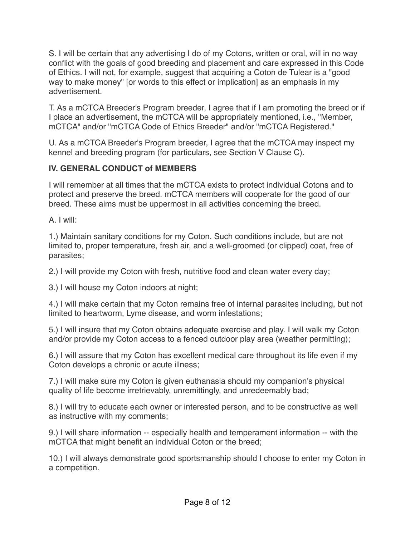S. I will be certain that any advertising I do of my Cotons, written or oral, will in no way conflict with the goals of good breeding and placement and care expressed in this Code of Ethics. I will not, for example, suggest that acquiring a Coton de Tulear is a "good way to make money" [or words to this effect or implication] as an emphasis in my advertisement.

T. As a mCTCA Breeder's Program breeder, I agree that if I am promoting the breed or if I place an advertisement, the mCTCA will be appropriately mentioned, i.e., "Member, mCTCA" and/or "mCTCA Code of Ethics Breeder" and/or "mCTCA Registered."

U. As a mCTCA Breeder's Program breeder, I agree that the mCTCA may inspect my kennel and breeding program (for particulars, see Section V Clause C).

## **IV. GENERAL CONDUCT of MEMBERS**

I will remember at all times that the mCTCA exists to protect individual Cotons and to protect and preserve the breed. mCTCA members will cooperate for the good of our breed. These aims must be uppermost in all activities concerning the breed.

A. I will:

1.) Maintain sanitary conditions for my Coton. Such conditions include, but are not limited to, proper temperature, fresh air, and a well-groomed (or clipped) coat, free of parasites;

2.) I will provide my Coton with fresh, nutritive food and clean water every day;

3.) I will house my Coton indoors at night;

4.) I will make certain that my Coton remains free of internal parasites including, but not limited to heartworm, Lyme disease, and worm infestations;

5.) I will insure that my Coton obtains adequate exercise and play. I will walk my Coton and/or provide my Coton access to a fenced outdoor play area (weather permitting);

6.) I will assure that my Coton has excellent medical care throughout its life even if my Coton develops a chronic or acute illness;

7.) I will make sure my Coton is given euthanasia should my companion's physical quality of life become irretrievably, unremittingly, and unredeemably bad;

8.) I will try to educate each owner or interested person, and to be constructive as well as instructive with my comments;

9.) I will share information -- especially health and temperament information -- with the mCTCA that might benefit an individual Coton or the breed;

10.) I will always demonstrate good sportsmanship should I choose to enter my Coton in a competition.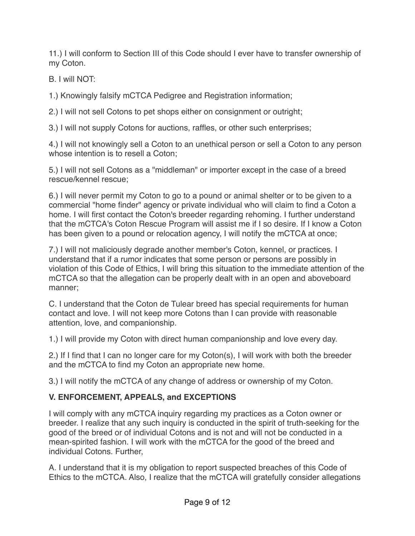11.) I will conform to Section III of this Code should I ever have to transfer ownership of my Coton.

B. I will NOT:

1.) Knowingly falsify mCTCA Pedigree and Registration information;

2.) I will not sell Cotons to pet shops either on consignment or outright;

3.) I will not supply Cotons for auctions, raffles, or other such enterprises;

4.) I will not knowingly sell a Coton to an unethical person or sell a Coton to any person whose intention is to resell a Coton;

5.) I will not sell Cotons as a "middleman" or importer except in the case of a breed rescue/kennel rescue;

6.) I will never permit my Coton to go to a pound or animal shelter or to be given to a commercial "home finder" agency or private individual who will claim to find a Coton a home. I will first contact the Coton's breeder regarding rehoming. I further understand that the mCTCA's Coton Rescue Program will assist me if I so desire. If I know a Coton has been given to a pound or relocation agency, I will notify the mCTCA at once;

7.) I will not maliciously degrade another member's Coton, kennel, or practices. I understand that if a rumor indicates that some person or persons are possibly in violation of this Code of Ethics, I will bring this situation to the immediate attention of the mCTCA so that the allegation can be properly dealt with in an open and aboveboard manner;

C. I understand that the Coton de Tulear breed has special requirements for human contact and love. I will not keep more Cotons than I can provide with reasonable attention, love, and companionship.

1.) I will provide my Coton with direct human companionship and love every day.

2.) If I find that I can no longer care for my Coton(s), I will work with both the breeder and the mCTCA to find my Coton an appropriate new home.

3.) I will notify the mCTCA of any change of address or ownership of my Coton.

## **V. ENFORCEMENT, APPEALS, and EXCEPTIONS**

I will comply with any mCTCA inquiry regarding my practices as a Coton owner or breeder. I realize that any such inquiry is conducted in the spirit of truth-seeking for the good of the breed or of individual Cotons and is not and will not be conducted in a mean-spirited fashion. I will work with the mCTCA for the good of the breed and individual Cotons. Further,

A. I understand that it is my obligation to report suspected breaches of this Code of Ethics to the mCTCA. Also, I realize that the mCTCA will gratefully consider allegations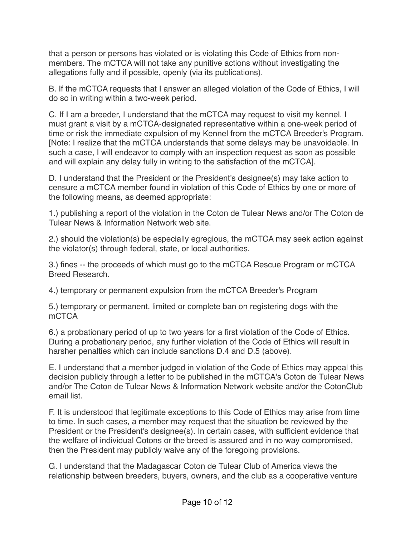that a person or persons has violated or is violating this Code of Ethics from nonmembers. The mCTCA will not take any punitive actions without investigating the allegations fully and if possible, openly (via its publications).

B. If the mCTCA requests that I answer an alleged violation of the Code of Ethics, I will do so in writing within a two-week period.

C. If I am a breeder, I understand that the mCTCA may request to visit my kennel. I must grant a visit by a mCTCA-designated representative within a one-week period of time or risk the immediate expulsion of my Kennel from the mCTCA Breeder's Program. [Note: I realize that the mCTCA understands that some delays may be unavoidable. In such a case, I will endeavor to comply with an inspection request as soon as possible and will explain any delay fully in writing to the satisfaction of the mCTCA].

D. I understand that the President or the President's designee(s) may take action to censure a mCTCA member found in violation of this Code of Ethics by one or more of the following means, as deemed appropriate:

1.) publishing a report of the violation in the Coton de Tulear News and/or The Coton de Tulear News & Information Network web site.

2.) should the violation(s) be especially egregious, the mCTCA may seek action against the violator(s) through federal, state, or local authorities.

3.) fines -- the proceeds of which must go to the mCTCA Rescue Program or mCTCA Breed Research.

4.) temporary or permanent expulsion from the mCTCA Breeder's Program

5.) temporary or permanent, limited or complete ban on registering dogs with the mCTCA

6.) a probationary period of up to two years for a first violation of the Code of Ethics. During a probationary period, any further violation of the Code of Ethics will result in harsher penalties which can include sanctions D.4 and D.5 (above).

E. I understand that a member judged in violation of the Code of Ethics may appeal this decision publicly through a letter to be published in the mCTCA's Coton de Tulear News and/or The Coton de Tulear News & Information Network website and/or the CotonClub email list.

F. It is understood that legitimate exceptions to this Code of Ethics may arise from time to time. In such cases, a member may request that the situation be reviewed by the President or the President's designee(s). In certain cases, with sufficient evidence that the welfare of individual Cotons or the breed is assured and in no way compromised, then the President may publicly waive any of the foregoing provisions.

G. I understand that the Madagascar Coton de Tulear Club of America views the relationship between breeders, buyers, owners, and the club as a cooperative venture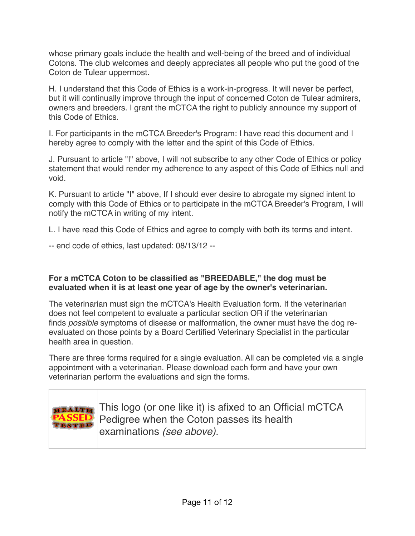whose primary goals include the health and well-being of the breed and of individual Cotons. The club welcomes and deeply appreciates all people who put the good of the Coton de Tulear uppermost.

H. I understand that this Code of Ethics is a work-in-progress. It will never be perfect, but it will continually improve through the input of concerned Coton de Tulear admirers, owners and breeders. I grant the mCTCA the right to publicly announce my support of this Code of Ethics.

I. For participants in the mCTCA Breeder's Program: I have read this document and I hereby agree to comply with the letter and the spirit of this Code of Ethics.

J. Pursuant to article "I" above, I will not subscribe to any other Code of Ethics or policy statement that would render my adherence to any aspect of this Code of Ethics null and void.

K. Pursuant to article "I" above, If I should ever desire to abrogate my signed intent to comply with this Code of Ethics or to participate in the mCTCA Breeder's Program, I will notify the mCTCA in writing of my intent.

L. I have read this Code of Ethics and agree to comply with both its terms and intent.

-- end code of ethics, last updated: 08/13/12 --

#### **For a mCTCA Coton to be classified as "BREEDABLE," the dog must be evaluated when it is at least one year of age by the owner's veterinarian.**

The veterinarian must sign the mCTCA's Health Evaluation form. If the veterinarian does not feel competent to evaluate a particular section OR if the veterinarian finds *possible* symptoms of disease or malformation, the owner must have the dog reevaluated on those points by a Board Certified Veterinary Specialist in the particular health area in question.

There are three forms required for a single evaluation. All can be completed via a single appointment with a veterinarian. Please download each form and have your own veterinarian perform the evaluations and sign the forms.



This logo (or one like it) is afixed to an Official mCTCA Pedigree when the Coton passes its health examinations *(see above).*